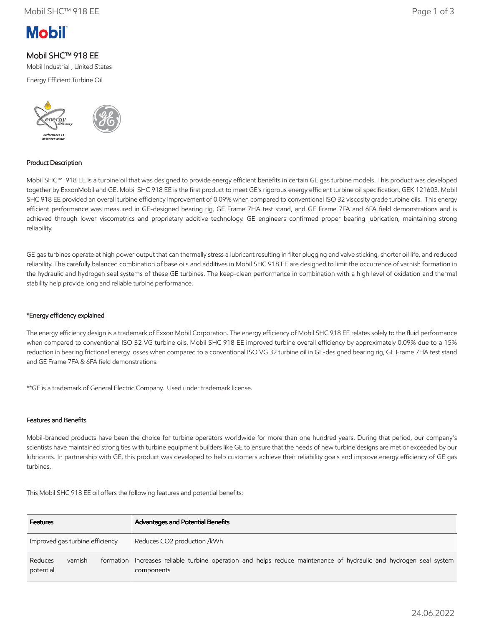

# Mobil SHC™ 918 EE

Mobil Industrial , United States

Energy Efficient Turbine Oil



## Product Description

Mobil SHC™ 918 EE is a turbine oil that was designed to provide energy efficient benefits in certain GE gas turbine models. This product was developed together by ExxonMobil and GE. Mobil SHC 918 EE is the first product to meet GE's rigorous energy efficient turbine oil specification, GEK 121603. Mobil SHC 918 EE provided an overall turbine efficiency improvement of 0.09% when compared to conventional ISO 32 viscosity grade turbine oils. This energy efficient performance was measured in GE-designed bearing rig, GE Frame 7HA test stand, and GE Frame 7FA and 6FA field demonstrations and is achieved through lower viscometrics and proprietary additive technology. GE engineers confirmed proper bearing lubrication, maintaining strong reliability.

GE gas turbines operate at high power output that can thermally stress a lubricant resulting in filter plugging and valve sticking, shorter oil life, and reduced reliability. The carefully balanced combination of base oils and additives in Mobil SHC 918 EE are designed to limit the occurrence of varnish formation in the hydraulic and hydrogen seal systems of these GE turbines. The keep-clean performance in combination with a high level of oxidation and thermal stability help provide long and reliable turbine performance.

### \*Energy efficiency explained

The energy efficiency design is a trademark of Exxon Mobil Corporation. The energy efficiency of Mobil SHC 918 EE relates solely to the fluid performance when compared to conventional ISO 32 VG turbine oils. Mobil SHC 918 EE improved turbine overall efficiency by approximately 0.09% due to a 15% reduction in bearing frictional energy losses when compared to a conventional ISO VG 32 turbine oil in GE-designed bearing rig, GE Frame 7HA test stand and GE Frame 7FA & 6FA field demonstrations.

\*\*GE is a trademark of General Electric Company. Used under trademark license.

#### Features and Benefits

Mobil-branded products have been the choice for turbine operators worldwide for more than one hundred years. During that period, our company's scientists have maintained strong ties with turbine equipment builders like GE to ensure that the needs of new turbine designs are met or exceeded by our lubricants. In partnership with GE, this product was developed to help customers achieve their reliability goals and improve energy efficiency of GE gas turbines.

This Mobil SHC 918 EE oil offers the following features and potential benefits:

| <b>Features</b>                              | <b>Advantages and Potential Benefits</b>                                                                              |
|----------------------------------------------|-----------------------------------------------------------------------------------------------------------------------|
| Improved gas turbine efficiency              | Reduces CO2 production /kWh                                                                                           |
| Reduces<br>varnish<br>formation<br>potential | Increases reliable turbine operation and helps reduce maintenance of hydraulic and hydrogen seal system<br>components |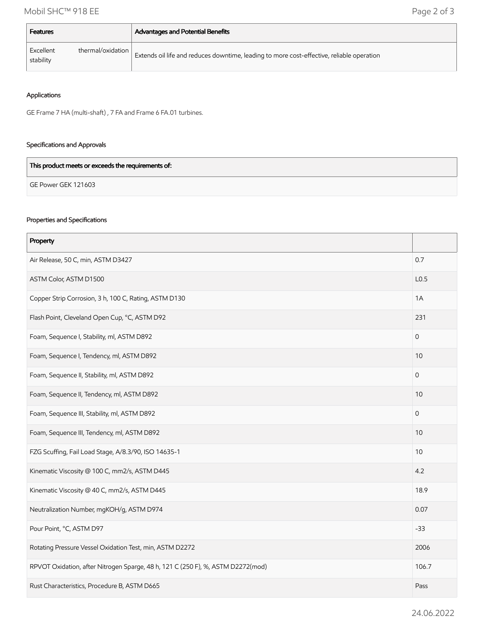| Features               |                   | <b>Advantages and Potential Benefits</b>                                                  |
|------------------------|-------------------|-------------------------------------------------------------------------------------------|
| Excellent<br>stability | thermal/oxidation | Extends oil life and reduces downtime, leading to more cost-effective, reliable operation |

# Applications

GE Frame 7 HA (multi-shaft) , 7 FA and Frame 6 FA.01 turbines.

## Specifications and Approvals

| This product meets or exceeds the requirements of: |  |
|----------------------------------------------------|--|
| GE Power GEK 121603                                |  |

# Properties and Specifications

| Property                                                                        |              |
|---------------------------------------------------------------------------------|--------------|
| Air Release, 50 C, min, ASTM D3427                                              |              |
| ASTM Color, ASTM D1500                                                          |              |
| Copper Strip Corrosion, 3 h, 100 C, Rating, ASTM D130                           |              |
| Flash Point, Cleveland Open Cup, °C, ASTM D92                                   |              |
| Foam, Sequence I, Stability, ml, ASTM D892                                      | $\Omega$     |
| Foam, Sequence I, Tendency, ml, ASTM D892                                       |              |
| Foam, Sequence II, Stability, ml, ASTM D892                                     |              |
| Foam, Sequence II, Tendency, ml, ASTM D892                                      | 10           |
| Foam, Sequence III, Stability, ml, ASTM D892                                    | $\mathbf{0}$ |
| Foam, Sequence III, Tendency, ml, ASTM D892                                     | 10           |
| FZG Scuffing, Fail Load Stage, A/8.3/90, ISO 14635-1                            |              |
| Kinematic Viscosity @ 100 C, mm2/s, ASTM D445                                   |              |
| Kinematic Viscosity @ 40 C, mm2/s, ASTM D445                                    | 18.9         |
| Neutralization Number, mgKOH/g, ASTM D974                                       |              |
| Pour Point, °C, ASTM D97                                                        |              |
| Rotating Pressure Vessel Oxidation Test, min, ASTM D2272                        |              |
| RPVOT Oxidation, after Nitrogen Sparge, 48 h, 121 C (250 F), %, ASTM D2272(mod) |              |
| Rust Characteristics, Procedure B, ASTM D665                                    |              |